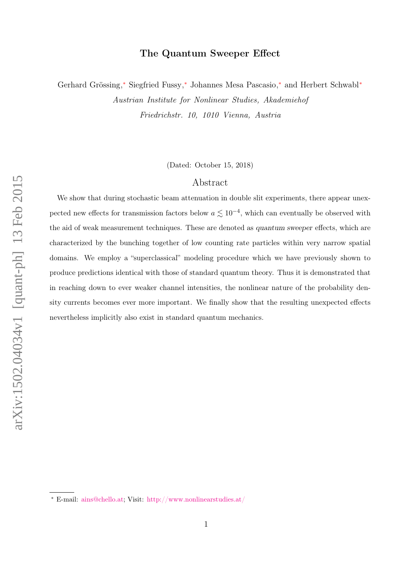### The Quantum Sweeper Effect

Gerhard Grössing,[∗](#page-0-0) Siegfried Fussy,[∗](#page-0-0) Johannes Mesa Pascasio,[∗](#page-0-0) and Herbert Schwabl[∗](#page-0-0)

Austrian Institute for Nonlinear Studies, Akademiehof Friedrichstr. 10, 1010 Vienna, Austria

(Dated: October 15, 2018)

### Abstract

We show that during stochastic beam attenuation in double slit experiments, there appear unexpected new effects for transmission factors below  $a \lesssim 10^{-4}$ , which can eventually be observed with the aid of weak measurement techniques. These are denoted as quantum sweeper effects, which are characterized by the bunching together of low counting rate particles within very narrow spatial domains. We employ a "superclassical" modeling procedure which we have previously shown to produce predictions identical with those of standard quantum theory. Thus it is demonstrated that in reaching down to ever weaker channel intensities, the nonlinear nature of the probability density currents becomes ever more important. We finally show that the resulting unexpected effects nevertheless implicitly also exist in standard quantum mechanics.

<span id="page-0-0"></span><sup>∗</sup> E-mail: [ains@chello.at;](mailto:ains@chello.at) Visit: <http://www.nonlinearstudies.at/>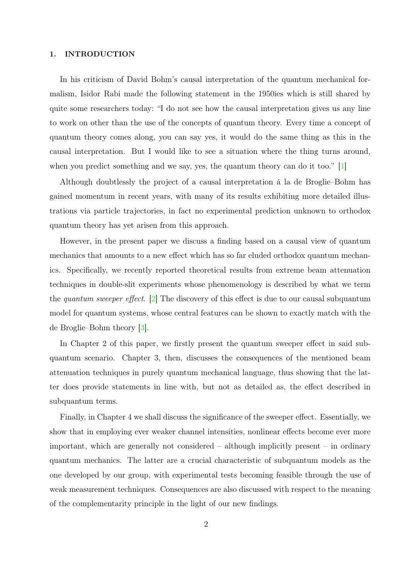#### 1. INTRODUCTION

In his criticism of David Bohm's causal interpretation of the quantum mechanical formalism, Isidor Rabi made the following statement in the 1950ies which is still shared by quite some researchers today: "I do not see how the causal interpretation gives us any line to work on other than the use of the concepts of quantum theory. Every time a concept of quantum theory comes along, you can say yes, it would do the same thing as this in the causal interpretation. But I would like to see a situation where the thing turns around, when you predict something and we say, yes, the quantum theory can do it too." [\[1\]](#page-13-0)

Although doubtlessly the project of a causal interpretation á la de Broglie–Bohm has gained momentum in recent years, with many of its results exhibiting more detailed illustrations via particle trajectories, in fact no experimental prediction unknown to orthodox quantum theory has yet arisen from this approach.

However, in the present paper we discuss a finding based on a causal view of quantum mechanics that amounts to a new effect which has so far eluded orthodox quantum mechanics. Specifically, we recently reported theoretical results from extreme beam attenuation techniques in double-slit experiments whose phenomenology is described by what we term the quantum sweeper effect. [\[2\]](#page-13-1) The discovery of this effect is due to our causal subquantum model for quantum systems, whose central features can be shown to exactly match with the de Broglie–Bohm theory [\[3\]](#page-13-2).

In Chapter 2 of this paper, we firstly present the quantum sweeper effect in said subquantum scenario. Chapter 3, then, discusses the consequences of the mentioned beam attenuation techniques in purely quantum mechanical language, thus showing that the latter does provide statements in line with, but not as detailed as, the effect described in subquantum terms.

Finally, in Chapter 4 we shall discuss the significance of the sweeper effect. Essentially, we show that in employing ever weaker channel intensities, nonlinear effects become ever more important, which are generally not considered – although implicitly present – in ordinary quantum mechanics. The latter are a crucial characteristic of subquantum models as the one developed by our group, with experimental tests becoming feasible through the use of weak measurement techniques. Consequences are also discussed with respect to the meaning of the complementarity principle in the light of our new findings.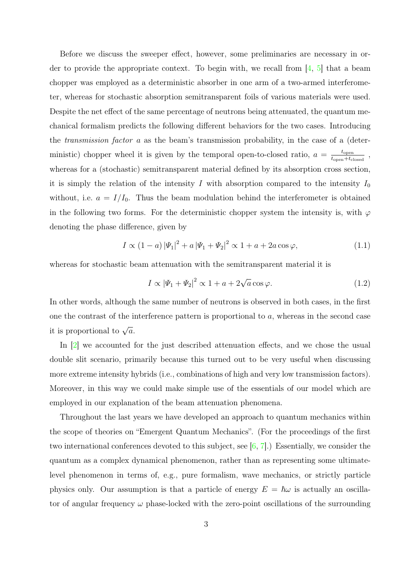Before we discuss the sweeper effect, however, some preliminaries are necessary in order to provide the appropriate context. To begin with, we recall from [\[4,](#page-13-3) [5\]](#page-13-4) that a beam chopper was employed as a deterministic absorber in one arm of a two-armed interferometer, whereas for stochastic absorption semitransparent foils of various materials were used. Despite the net effect of the same percentage of neutrons being attenuated, the quantum mechanical formalism predicts the following different behaviors for the two cases. Introducing the transmission factor a as the beam's transmission probability, in the case of a (deterministic) chopper wheel it is given by the temporal open-to-closed ratio,  $a = \frac{t_{open}}{t_{center}}$  $\frac{t_{\text{open}}}{t_{\text{open}}+t_{\text{closed}}}$ whereas for a (stochastic) semitransparent material defined by its absorption cross section, it is simply the relation of the intensity I with absorption compared to the intensity  $I_0$ without, i.e.  $a = I/I_0$ . Thus the beam modulation behind the interferometer is obtained in the following two forms. For the deterministic chopper system the intensity is, with  $\varphi$ denoting the phase difference, given by

$$
I \propto (1 - a) |\Psi_1|^2 + a |\Psi_1 + \Psi_2|^2 \propto 1 + a + 2a \cos \varphi,
$$
\n(1.1)

whereas for stochastic beam attenuation with the semitransparent material it is

<span id="page-2-0"></span>
$$
I \propto |\Psi_1 + \Psi_2|^2 \propto 1 + a + 2\sqrt{a}\cos\varphi. \tag{1.2}
$$

In other words, although the same number of neutrons is observed in both cases, in the first one the contrast of the interference pattern is proportional to a, whereas in the second case it is proportional to  $\sqrt{a}$ .

In [\[2\]](#page-13-1) we accounted for the just described attenuation effects, and we chose the usual double slit scenario, primarily because this turned out to be very useful when discussing more extreme intensity hybrids (i.e., combinations of high and very low transmission factors). Moreover, in this way we could make simple use of the essentials of our model which are employed in our explanation of the beam attenuation phenomena.

Throughout the last years we have developed an approach to quantum mechanics within the scope of theories on "Emergent Quantum Mechanics". (For the proceedings of the first two international conferences devoted to this subject, see [\[6,](#page-13-5) [7\]](#page-13-6).) Essentially, we consider the quantum as a complex dynamical phenomenon, rather than as representing some ultimatelevel phenomenon in terms of, e.g., pure formalism, wave mechanics, or strictly particle physics only. Our assumption is that a particle of energy  $E = \hbar \omega$  is actually an oscillator of angular frequency  $\omega$  phase-locked with the zero-point oscillations of the surrounding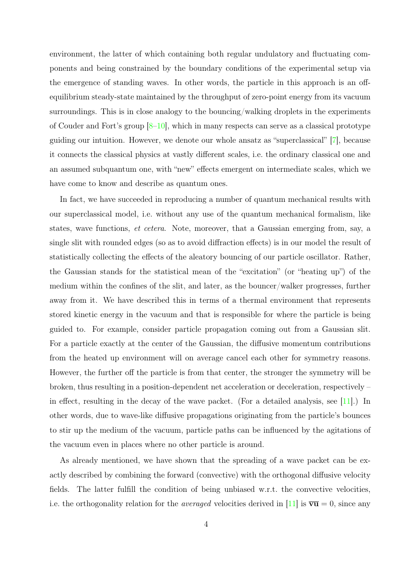environment, the latter of which containing both regular undulatory and fluctuating components and being constrained by the boundary conditions of the experimental setup via the emergence of standing waves. In other words, the particle in this approach is an offequilibrium steady-state maintained by the throughput of zero-point energy from its vacuum surroundings. This is in close analogy to the bouncing/walking droplets in the experiments of Couder and Fort's group  $[8-10]$  $[8-10]$ , which in many respects can serve as a classical prototype guiding our intuition. However, we denote our whole ansatz as "superclassical" [\[7\]](#page-13-6), because it connects the classical physics at vastly different scales, i.e. the ordinary classical one and an assumed subquantum one, with "new" effects emergent on intermediate scales, which we have come to know and describe as quantum ones.

In fact, we have succeeded in reproducing a number of quantum mechanical results with our superclassical model, i.e. without any use of the quantum mechanical formalism, like states, wave functions, et cetera. Note, moreover, that a Gaussian emerging from, say, a single slit with rounded edges (so as to avoid diffraction effects) is in our model the result of statistically collecting the effects of the aleatory bouncing of our particle oscillator. Rather, the Gaussian stands for the statistical mean of the "excitation" (or "heating up") of the medium within the confines of the slit, and later, as the bouncer/walker progresses, further away from it. We have described this in terms of a thermal environment that represents stored kinetic energy in the vacuum and that is responsible for where the particle is being guided to. For example, consider particle propagation coming out from a Gaussian slit. For a particle exactly at the center of the Gaussian, the diffusive momentum contributions from the heated up environment will on average cancel each other for symmetry reasons. However, the further off the particle is from that center, the stronger the symmetry will be broken, thus resulting in a position-dependent net acceleration or deceleration, respectively – in effect, resulting in the decay of the wave packet. (For a detailed analysis, see [\[11\]](#page-13-9).) In other words, due to wave-like diffusive propagations originating from the particle's bounces to stir up the medium of the vacuum, particle paths can be influenced by the agitations of the vacuum even in places where no other particle is around.

As already mentioned, we have shown that the spreading of a wave packet can be exactly described by combining the forward (convective) with the orthogonal diffusive velocity fields. The latter fulfill the condition of being unbiased w.r.t. the convective velocities, i.e. the orthogonality relation for the *averaged* velocities derived in [\[11\]](#page-13-9) is  $\overline{vu} = 0$ , since any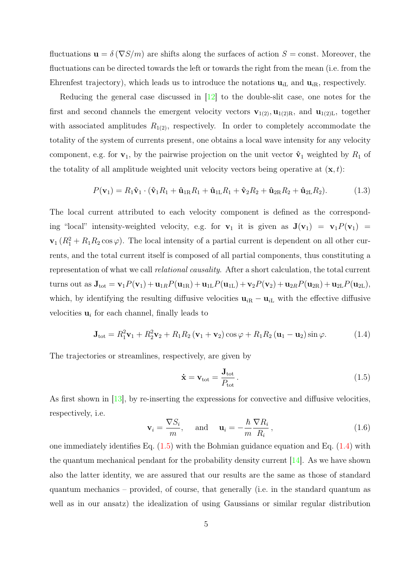fluctuations  $\mathbf{u} = \delta (\nabla S/m)$  are shifts along the surfaces of action  $S = \text{const.}$  Moreover, the fluctuations can be directed towards the left or towards the right from the mean (i.e. from the Ehrenfest trajectory), which leads us to introduce the notations  $\mathbf{u}_{iL}$  and  $\mathbf{u}_{iR}$ , respectively.

Reducing the general case discussed in [\[12\]](#page-14-0) to the double-slit case, one notes for the first and second channels the emergent velocity vectors  $\mathbf{v}_{1(2)}, \mathbf{u}_{1(2)R}$ , and  $\mathbf{u}_{1(2)L}$ , together with associated amplitudes  $R_{1(2)}$ , respectively. In order to completely accommodate the totality of the system of currents present, one obtains a local wave intensity for any velocity component, e.g. for  $\mathbf{v}_1$ , by the pairwise projection on the unit vector  $\hat{\mathbf{v}}_1$  weighted by  $R_1$  of the totality of all amplitude weighted unit velocity vectors being operative at  $(\mathbf{x}, t)$ :

$$
P(\mathbf{v}_1) = R_1 \hat{\mathbf{v}}_1 \cdot (\hat{\mathbf{v}}_1 R_1 + \hat{\mathbf{u}}_{1R} R_1 + \hat{\mathbf{u}}_{1L} R_1 + \hat{\mathbf{v}}_2 R_2 + \hat{\mathbf{u}}_{2R} R_2 + \hat{\mathbf{u}}_{2L} R_2).
$$
(1.3)

The local current attributed to each velocity component is defined as the corresponding "local" intensity-weighted velocity, e.g. for  $v_1$  it is given as  $J(v_1) = v_1P(v_1) =$  $\mathbf{v}_1 (R_1^2 + R_1 R_2 \cos \varphi)$ . The local intensity of a partial current is dependent on all other currents, and the total current itself is composed of all partial components, thus constituting a representation of what we call relational causality. After a short calculation, the total current turns out as  $\mathbf{J}_{\text{tot}} = \mathbf{v}_1 P(\mathbf{v}_1) + \mathbf{u}_{1R} P(\mathbf{u}_{1R}) + \mathbf{u}_{1L} P(\mathbf{u}_{1L}) + \mathbf{v}_2 P(\mathbf{v}_2) + \mathbf{u}_{2R} P(\mathbf{u}_{2R}) + \mathbf{u}_{2L} P(\mathbf{u}_{2L}),$ which, by identifying the resulting diffusive velocities  $\mathbf{u}_{iR} - \mathbf{u}_{iL}$  with the effective diffusive velocities  $\mathbf{u}_i$  for each channel, finally leads to

<span id="page-4-1"></span>
$$
\mathbf{J}_{\text{tot}} = R_1^2 \mathbf{v}_1 + R_2^2 \mathbf{v}_2 + R_1 R_2 (\mathbf{v}_1 + \mathbf{v}_2) \cos \varphi + R_1 R_2 (\mathbf{u}_1 - \mathbf{u}_2) \sin \varphi.
$$
 (1.4)

The trajectories or streamlines, respectively, are given by

<span id="page-4-0"></span>
$$
\dot{\mathbf{x}} = \mathbf{v}_{\text{tot}} = \frac{\mathbf{J}_{\text{tot}}}{P_{\text{tot}}}.
$$
\n(1.5)

As first shown in [\[13\]](#page-14-1), by re-inserting the expressions for convective and diffusive velocities, respectively, i.e.

<span id="page-4-2"></span>
$$
\mathbf{v}_{i} = \frac{\nabla S_{i}}{m}, \quad \text{and} \quad \mathbf{u}_{i} = -\frac{\hbar}{m} \frac{\nabla R_{i}}{R_{i}}, \qquad (1.6)
$$

one immediately identifies Eq.  $(1.5)$  with the Bohmian guidance equation and Eq.  $(1.4)$  with the quantum mechanical pendant for the probability density current  $[14]$ . As we have shown also the latter identity, we are assured that our results are the same as those of standard quantum mechanics – provided, of course, that generally (i.e. in the standard quantum as well as in our ansatz) the idealization of using Gaussians or similar regular distribution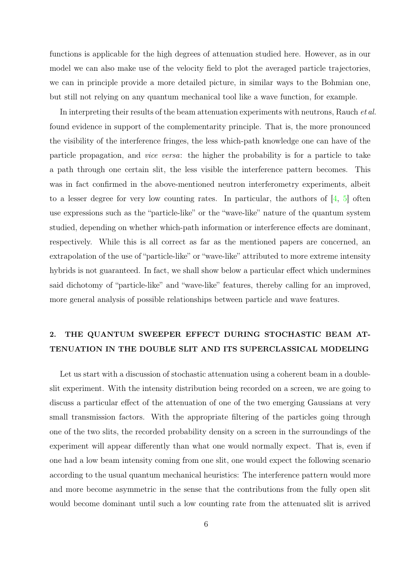functions is applicable for the high degrees of attenuation studied here. However, as in our model we can also make use of the velocity field to plot the averaged particle trajectories, we can in principle provide a more detailed picture, in similar ways to the Bohmian one, but still not relying on any quantum mechanical tool like a wave function, for example.

In interpreting their results of the beam attenuation experiments with neutrons, Rauch *et al.* found evidence in support of the complementarity principle. That is, the more pronounced the visibility of the interference fringes, the less which-path knowledge one can have of the particle propagation, and vice versa: the higher the probability is for a particle to take a path through one certain slit, the less visible the interference pattern becomes. This was in fact confirmed in the above-mentioned neutron interferometry experiments, albeit to a lesser degree for very low counting rates. In particular, the authors of  $\begin{bmatrix}4, 5\end{bmatrix}$  often use expressions such as the "particle-like" or the "wave-like" nature of the quantum system studied, depending on whether which-path information or interference effects are dominant, respectively. While this is all correct as far as the mentioned papers are concerned, an extrapolation of the use of "particle-like" or "wave-like" attributed to more extreme intensity hybrids is not guaranteed. In fact, we shall show below a particular effect which undermines said dichotomy of "particle-like" and "wave-like" features, thereby calling for an improved, more general analysis of possible relationships between particle and wave features.

# 2. THE QUANTUM SWEEPER EFFECT DURING STOCHASTIC BEAM AT-TENUATION IN THE DOUBLE SLIT AND ITS SUPERCLASSICAL MODELING

Let us start with a discussion of stochastic attenuation using a coherent beam in a doubleslit experiment. With the intensity distribution being recorded on a screen, we are going to discuss a particular effect of the attenuation of one of the two emerging Gaussians at very small transmission factors. With the appropriate filtering of the particles going through one of the two slits, the recorded probability density on a screen in the surroundings of the experiment will appear differently than what one would normally expect. That is, even if one had a low beam intensity coming from one slit, one would expect the following scenario according to the usual quantum mechanical heuristics: The interference pattern would more and more become asymmetric in the sense that the contributions from the fully open slit would become dominant until such a low counting rate from the attenuated slit is arrived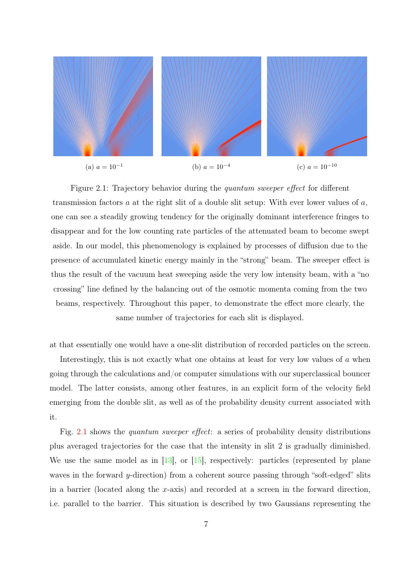<span id="page-6-0"></span>

Figure 2.1: Trajectory behavior during the *quantum sweeper effect* for different transmission factors  $a$  at the right slit of a double slit setup: With ever lower values of  $a$ , one can see a steadily growing tendency for the originally dominant interference fringes to disappear and for the low counting rate particles of the attenuated beam to become swept aside. In our model, this phenomenology is explained by processes of diffusion due to the presence of accumulated kinetic energy mainly in the "strong" beam. The sweeper effect is thus the result of the vacuum heat sweeping aside the very low intensity beam, with a "no crossing" line defined by the balancing out of the osmotic momenta coming from the two beams, respectively. Throughout this paper, to demonstrate the effect more clearly, the same number of trajectories for each slit is displayed.

at that essentially one would have a one-slit distribution of recorded particles on the screen.

Interestingly, this is not exactly what one obtains at least for very low values of a when going through the calculations and/or computer simulations with our superclassical bouncer model. The latter consists, among other features, in an explicit form of the velocity field emerging from the double slit, as well as of the probability density current associated with it.

Fig. [2.1](#page-6-0) shows the quantum sweeper effect: a series of probability density distributions plus averaged trajectories for the case that the intensity in slit 2 is gradually diminished. We use the same model as in [\[13\]](#page-14-1), or [\[15\]](#page-14-3), respectively: particles (represented by plane waves in the forward y-direction) from a coherent source passing through "soft-edged" slits in a barrier (located along the x-axis) and recorded at a screen in the forward direction, i.e. parallel to the barrier. This situation is described by two Gaussians representing the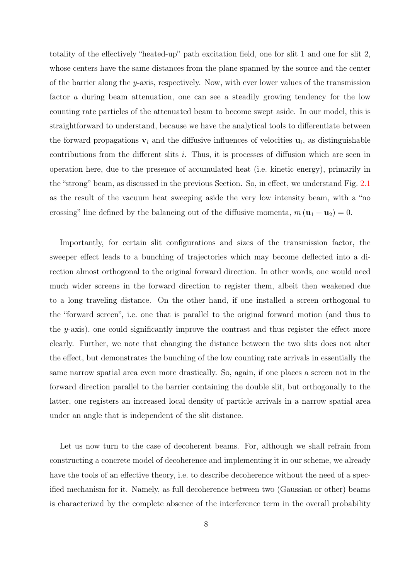totality of the effectively "heated-up" path excitation field, one for slit 1 and one for slit 2, whose centers have the same distances from the plane spanned by the source and the center of the barrier along the y-axis, respectively. Now, with ever lower values of the transmission factor a during beam attenuation, one can see a steadily growing tendency for the low counting rate particles of the attenuated beam to become swept aside. In our model, this is straightforward to understand, because we have the analytical tools to differentiate between the forward propagations  $v_i$  and the diffusive influences of velocities  $u_i$ , as distinguishable contributions from the different slits i. Thus, it is processes of diffusion which are seen in operation here, due to the presence of accumulated heat (i.e. kinetic energy), primarily in the "strong" beam, as discussed in the previous Section. So, in effect, we understand Fig. [2.1](#page-6-0) as the result of the vacuum heat sweeping aside the very low intensity beam, with a "no crossing" line defined by the balancing out of the diffusive momenta,  $m(\mathbf{u}_1 + \mathbf{u}_2) = 0$ .

Importantly, for certain slit configurations and sizes of the transmission factor, the sweeper effect leads to a bunching of trajectories which may become deflected into a direction almost orthogonal to the original forward direction. In other words, one would need much wider screens in the forward direction to register them, albeit then weakened due to a long traveling distance. On the other hand, if one installed a screen orthogonal to the "forward screen", i.e. one that is parallel to the original forward motion (and thus to the y-axis), one could significantly improve the contrast and thus register the effect more clearly. Further, we note that changing the distance between the two slits does not alter the effect, but demonstrates the bunching of the low counting rate arrivals in essentially the same narrow spatial area even more drastically. So, again, if one places a screen not in the forward direction parallel to the barrier containing the double slit, but orthogonally to the latter, one registers an increased local density of particle arrivals in a narrow spatial area under an angle that is independent of the slit distance.

Let us now turn to the case of decoherent beams. For, although we shall refrain from constructing a concrete model of decoherence and implementing it in our scheme, we already have the tools of an effective theory, i.e. to describe decoherence without the need of a specified mechanism for it. Namely, as full decoherence between two (Gaussian or other) beams is characterized by the complete absence of the interference term in the overall probability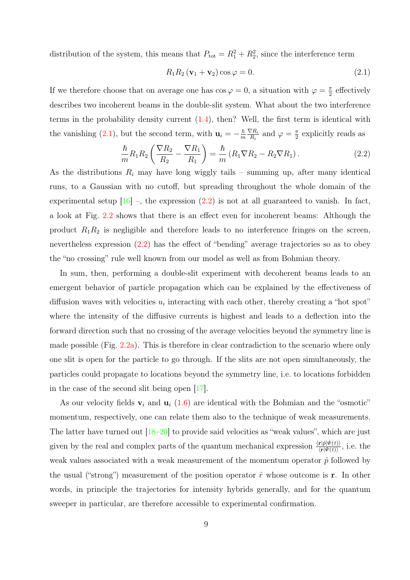distribution of the system, this means that  $P_{\text{tot}} = R_1^2 + R_2^2$ , since the interference term

<span id="page-8-0"></span>
$$
R_1 R_2 \left(\mathbf{v}_1 + \mathbf{v}_2\right) \cos \varphi = 0. \tag{2.1}
$$

If we therefore choose that on average one has  $\cos \varphi = 0$ , a situation with  $\varphi = \frac{\pi}{2}$  $\frac{\pi}{2}$  effectively describes two incoherent beams in the double-slit system. What about the two interference terms in the probability density current [\(1.4\)](#page-4-1), then? Well, the first term is identical with the vanishing [\(2.1\)](#page-8-0), but the second term, with  $\mathbf{u}_i = -\frac{\hbar}{n}$ m  $\nabla R_i$  $\frac{\nabla R_i}{R_i}$  and  $\varphi = \frac{\pi}{2}$  $\frac{\pi}{2}$  explicitly reads as

<span id="page-8-1"></span>
$$
\frac{\hbar}{m}R_1R_2\left(\frac{\nabla R_2}{R_2} - \frac{\nabla R_1}{R_1}\right) = \frac{\hbar}{m}\left(R_1\nabla R_2 - R_2\nabla R_1\right). \tag{2.2}
$$

As the distributions  $R_i$  may have long wiggly tails – summing up, after many identical runs, to a Gaussian with no cutoff, but spreading throughout the whole domain of the experimental setup  $[16]$  –, the expression  $(2.2)$  is not at all guaranteed to vanish. In fact, a look at Fig. [2.2](#page-9-0) shows that there is an effect even for incoherent beams: Although the product  $R_1R_2$  is negligible and therefore leads to no interference fringes on the screen, nevertheless expression [\(2.2\)](#page-8-1) has the effect of "bending" average trajectories so as to obey the "no crossing" rule well known from our model as well as from Bohmian theory.

In sum, then, performing a double-slit experiment with decoherent beams leads to an emergent behavior of particle propagation which can be explained by the effectiveness of diffusion waves with velocities  $u_i$  interacting with each other, thereby creating a "hot spot" where the intensity of the diffusive currents is highest and leads to a deflection into the forward direction such that no crossing of the average velocities beyond the symmetry line is made possible (Fig. [2.2a\)](#page-9-1). This is therefore in clear contradiction to the scenario where only one slit is open for the particle to go through. If the slits are not open simultaneously, the particles could propagate to locations beyond the symmetry line, i.e. to locations forbidden in the case of the second slit being open [\[17\]](#page-14-5).

As our velocity fields  $v_i$  and  $u_i$  [\(1.6\)](#page-4-2) are identical with the Bohmian and the "osmotic" momentum, respectively, one can relate them also to the technique of weak measurements. The latter have turned out  $[18-20]$  $[18-20]$  to provide said velocities as "weak values", which are just given by the real and complex parts of the quantum mechanical expression  $\frac{\langle \mathbf{r} | \hat{p} | \Psi(t) \rangle}{\langle \mathbf{r} | \Psi(t) \rangle}$ , i.e. the weak values associated with a weak measurement of the momentum operator  $\hat{p}$  followed by the usual ("strong") measurement of the position operator  $\hat{r}$  whose outcome is **r**. In other words, in principle the trajectories for intensity hybrids generally, and for the quantum sweeper in particular, are therefore accessible to experimental confirmation.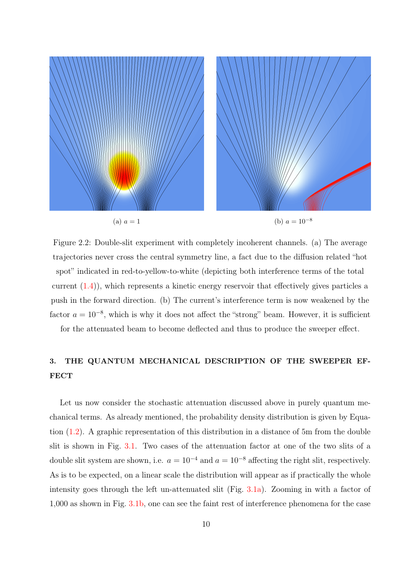<span id="page-9-1"></span><span id="page-9-0"></span>

<span id="page-9-2"></span>Figure 2.2: Double-slit experiment with completely incoherent channels. (a) The average trajectories never cross the central symmetry line, a fact due to the diffusion related "hot spot" indicated in red-to-yellow-to-white (depicting both interference terms of the total current [\(1.4\)](#page-4-1)), which represents a kinetic energy reservoir that effectively gives particles a push in the forward direction. (b) The current's interference term is now weakened by the factor  $a = 10^{-8}$ , which is why it does not affect the "strong" beam. However, it is sufficient

for the attenuated beam to become deflected and thus to produce the sweeper effect.

## 3. THE QUANTUM MECHANICAL DESCRIPTION OF THE SWEEPER EF-**FECT**

Let us now consider the stochastic attenuation discussed above in purely quantum mechanical terms. As already mentioned, the probability density distribution is given by Equation [\(1.2\)](#page-2-0). A graphic representation of this distribution in a distance of 5m from the double slit is shown in Fig. [3.1.](#page-10-0) Two cases of the attenuation factor at one of the two slits of a double slit system are shown, i.e.  $a = 10^{-4}$  and  $a = 10^{-8}$  affecting the right slit, respectively. As is to be expected, on a linear scale the distribution will appear as if practically the whole intensity goes through the left un-attenuated slit (Fig. [3.1a\)](#page-10-1). Zooming in with a factor of 1,000 as shown in Fig. [3.1b,](#page-10-2) one can see the faint rest of interference phenomena for the case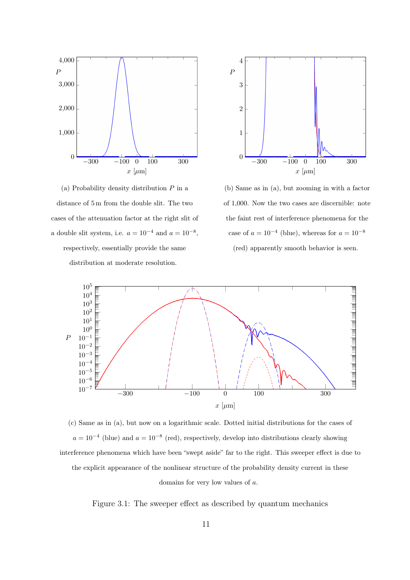<span id="page-10-1"></span><span id="page-10-0"></span>

(a) Probability density distribution  $P$  in a distance of 5 m from the double slit. The two cases of the attenuation factor at the right slit of a double slit system, i.e.  $a = 10^{-4}$  and  $a = 10^{-8}$ , respectively, essentially provide the same distribution at moderate resolution.



<span id="page-10-2"></span>(b) Same as in (a), but zooming in with a factor of 1,000. Now the two cases are discernible: note the faint rest of interference phenomena for the case of  $a = 10^{-4}$  (blue), whereas for  $a = 10^{-8}$ (red) apparently smooth behavior is seen.

<span id="page-10-3"></span>

(c) Same as in (a), but now on a logarithmic scale. Dotted initial distributions for the cases of  $a = 10^{-4}$  (blue) and  $a = 10^{-8}$  (red), respectively, develop into distributions clearly showing interference phenomena which have been "swept aside" far to the right. This sweeper effect is due to the explicit appearance of the nonlinear structure of the probability density current in these domains for very low values of a.

Figure 3.1: The sweeper effect as described by quantum mechanics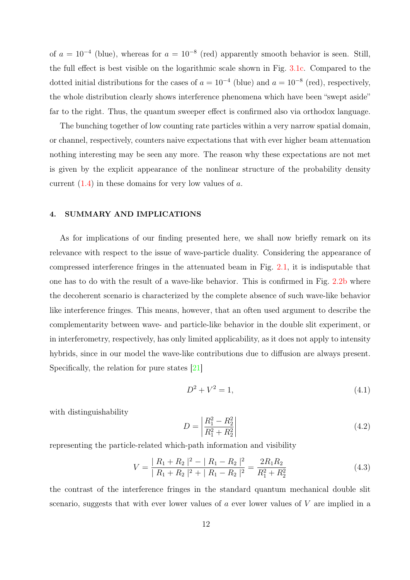of  $a = 10^{-4}$  (blue), whereas for  $a = 10^{-8}$  (red) apparently smooth behavior is seen. Still, the full effect is best visible on the logarithmic scale shown in Fig. [3.1c.](#page-10-3) Compared to the dotted initial distributions for the cases of  $a = 10^{-4}$  (blue) and  $a = 10^{-8}$  (red), respectively, the whole distribution clearly shows interference phenomena which have been "swept aside" far to the right. Thus, the quantum sweeper effect is confirmed also via orthodox language.

The bunching together of low counting rate particles within a very narrow spatial domain, or channel, respectively, counters naive expectations that with ever higher beam attenuation nothing interesting may be seen any more. The reason why these expectations are not met is given by the explicit appearance of the nonlinear structure of the probability density current  $(1.4)$  in these domains for very low values of a.

### 4. SUMMARY AND IMPLICATIONS

As for implications of our finding presented here, we shall now briefly remark on its relevance with respect to the issue of wave-particle duality. Considering the appearance of compressed interference fringes in the attenuated beam in Fig. [2.1,](#page-6-0) it is indisputable that one has to do with the result of a wave-like behavior. This is confirmed in Fig. [2.2b](#page-9-2) where the decoherent scenario is characterized by the complete absence of such wave-like behavior like interference fringes. This means, however, that an often used argument to describe the complementarity between wave- and particle-like behavior in the double slit experiment, or in interferometry, respectively, has only limited applicability, as it does not apply to intensity hybrids, since in our model the wave-like contributions due to diffusion are always present. Specifically, the relation for pure states [\[21\]](#page-14-8)

$$
D^2 + V^2 = 1,\t\t(4.1)
$$

with distinguishability

$$
D = \left| \frac{R_1^2 - R_2^2}{R_1^2 + R_2^2} \right| \tag{4.2}
$$

representing the particle-related which-path information and visibility

$$
V = \frac{|R_1 + R_2|^2 - |R_1 - R_2|^2}{|R_1 + R_2|^2 + |R_1 - R_2|^2} = \frac{2R_1R_2}{R_1^2 + R_2^2}
$$
(4.3)

the contrast of the interference fringes in the standard quantum mechanical double slit scenario, suggests that with ever lower values of  $a$  ever lower values of  $V$  are implied in a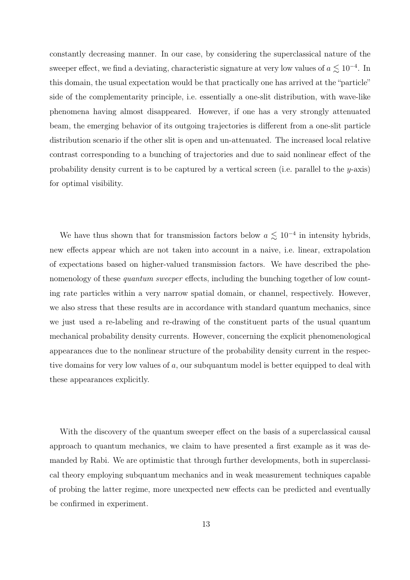constantly decreasing manner. In our case, by considering the superclassical nature of the sweeper effect, we find a deviating, characteristic signature at very low values of  $a \lesssim 10^{-4}$ . In this domain, the usual expectation would be that practically one has arrived at the "particle" side of the complementarity principle, i.e. essentially a one-slit distribution, with wave-like phenomena having almost disappeared. However, if one has a very strongly attenuated beam, the emerging behavior of its outgoing trajectories is different from a one-slit particle distribution scenario if the other slit is open and un-attenuated. The increased local relative contrast corresponding to a bunching of trajectories and due to said nonlinear effect of the probability density current is to be captured by a vertical screen (i.e. parallel to the  $y$ -axis) for optimal visibility.

We have thus shown that for transmission factors below  $a \lesssim 10^{-4}$  in intensity hybrids, new effects appear which are not taken into account in a naive, i.e. linear, extrapolation of expectations based on higher-valued transmission factors. We have described the phenomenology of these *quantum sweeper* effects, including the bunching together of low counting rate particles within a very narrow spatial domain, or channel, respectively. However, we also stress that these results are in accordance with standard quantum mechanics, since we just used a re-labeling and re-drawing of the constituent parts of the usual quantum mechanical probability density currents. However, concerning the explicit phenomenological appearances due to the nonlinear structure of the probability density current in the respective domains for very low values of a, our subquantum model is better equipped to deal with these appearances explicitly.

With the discovery of the quantum sweeper effect on the basis of a superclassical causal approach to quantum mechanics, we claim to have presented a first example as it was demanded by Rabi. We are optimistic that through further developments, both in superclassical theory employing subquantum mechanics and in weak measurement techniques capable of probing the latter regime, more unexpected new effects can be predicted and eventually be confirmed in experiment.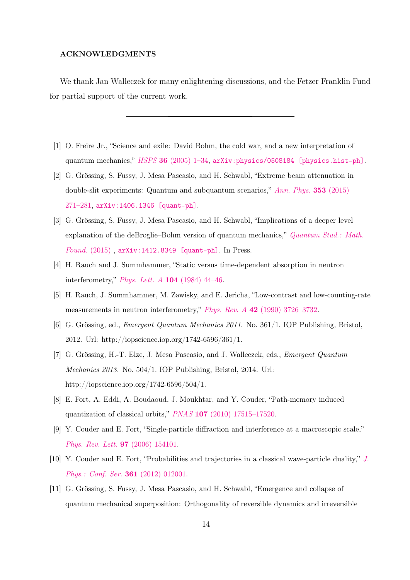#### ACKNOWLEDGMENTS

We thank Jan Walleczek for many enlightening discussions, and the Fetzer Franklin Fund for partial support of the current work.

- <span id="page-13-0"></span>[1] O. Freire Jr., "Science and exile: David Bohm, the cold war, and a new interpretation of quantum mechanics," HSPS 36 [\(2005\) 1–34,](http://dx.doi.org/10.1525/hsps.2005.36.1.1) [arXiv:physics/0508184 \[physics.hist-ph\]](http://arxiv.org/abs/physics/0508184).
- <span id="page-13-1"></span>[2] G. Grössing, S. Fussy, J. Mesa Pascasio, and H. Schwabl, "Extreme beam attenuation in double-slit experiments: Quantum and subquantum scenarios," [Ann. Phys.](http://dx.doi.org/10.1016/j.aop.2014.11.015) 353 (2015) [271–281,](http://dx.doi.org/10.1016/j.aop.2014.11.015) [arXiv:1406.1346 \[quant-ph\]](http://arxiv.org/abs/1406.1346).
- <span id="page-13-2"></span>[3] G. Grössing, S. Fussy, J. Mesa Pascasio, and H. Schwabl, "Implications of a deeper level explanation of the deBroglie–Bohm version of quantum mechanics," [Quantum Stud.: Math.](http://dx.doi.org/10.1007/s40509-015-0031-0) [Found.](http://dx.doi.org/10.1007/s40509-015-0031-0) (2015) , [arXiv:1412.8349 \[quant-ph\]](http://arxiv.org/abs/1412.8349). In Press.
- <span id="page-13-3"></span>[4] H. Rauch and J. Summhammer, "Static versus time-dependent absorption in neutron interferometry," [Phys. Lett. A](http://dx.doi.org/10.1016/0375-9601(84)90586-3) 104 (1984) 44–46.
- <span id="page-13-4"></span>[5] H. Rauch, J. Summhammer, M. Zawisky, and E. Jericha, "Low-contrast and low-counting-rate measurements in neutron interferometry," Phys. Rev. A 42 [\(1990\) 3726–3732.](http://dx.doi.org/10.1103/PhysRevA.42.3726)
- <span id="page-13-5"></span>[6] G. Grössing, ed., Emergent Quantum Mechanics 2011. No. 361/1. IOP Publishing, Bristol, 2012. Url: http://iopscience.iop.org/1742-6596/361/1.
- <span id="page-13-6"></span>[7] G. Grössing, H.-T. Elze, J. Mesa Pascasio, and J. Walleczek, eds., Emergent Quantum Mechanics 2013. No. 504/1. IOP Publishing, Bristol, 2014. Url: http://iopscience.iop.org/1742-6596/504/1.
- <span id="page-13-7"></span>[8] E. Fort, A. Eddi, A. Boudaoud, J. Moukhtar, and Y. Couder, "Path-memory induced quantization of classical orbits," PNAS 107 [\(2010\) 17515–17520.](http://dx.doi.org/10.1073/pnas.1007386107)
- [9] Y. Couder and E. Fort, "Single-particle diffraction and interference at a macroscopic scale," [Phys. Rev. Lett.](http://dx.doi.org/10.1103/PhysRevLett.97.154101) 97 (2006) 154101.
- <span id="page-13-8"></span>[10] Y. Couder and E. Fort, "Probabilities and trajectories in a classical wave-particle duality," [J.](http://dx.doi.org/10.1088/1742-6596/361/1/012001) [Phys.: Conf. Ser.](http://dx.doi.org/10.1088/1742-6596/361/1/012001) 361 (2012) 012001.
- <span id="page-13-9"></span>[11] G. Grössing, S. Fussy, J. Mesa Pascasio, and H. Schwabl, "Emergence and collapse of quantum mechanical superposition: Orthogonality of reversible dynamics and irreversible